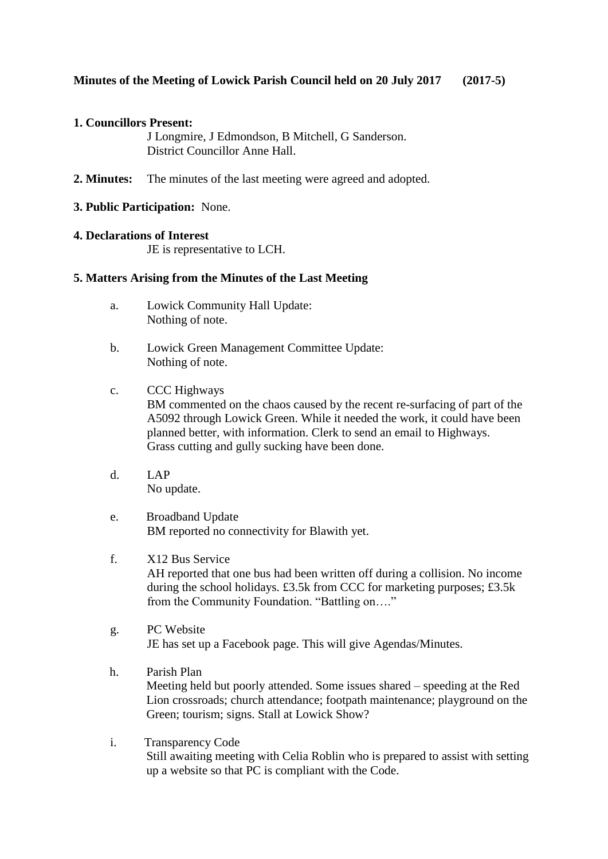# **1. Councillors Present:**

J Longmire, J Edmondson, B Mitchell, G Sanderson. District Councillor Anne Hall.

- **2. Minutes:** The minutes of the last meeting were agreed and adopted.
- **3. Public Participation:** None.

# **4. Declarations of Interest**

JE is representative to LCH.

# **5. Matters Arising from the Minutes of the Last Meeting**

- a. Lowick Community Hall Update: Nothing of note.
- b. Lowick Green Management Committee Update: Nothing of note.
- c. CCC Highways BM commented on the chaos caused by the recent re-surfacing of part of the A5092 through Lowick Green. While it needed the work, it could have been planned better, with information. Clerk to send an email to Highways. Grass cutting and gully sucking have been done.
- d. LAP No update.
- e. Broadband Update BM reported no connectivity for Blawith yet.
- f. X12 Bus Service AH reported that one bus had been written off during a collision. No income during the school holidays. £3.5k from CCC for marketing purposes; £3.5k from the Community Foundation. "Battling on…."
- g. PC Website JE has set up a Facebook page. This will give Agendas/Minutes.
- h. Parish Plan Meeting held but poorly attended. Some issues shared – speeding at the Red Lion crossroads; church attendance; footpath maintenance; playground on the Green; tourism; signs. Stall at Lowick Show?
- i. Transparency Code Still awaiting meeting with Celia Roblin who is prepared to assist with setting up a website so that PC is compliant with the Code.